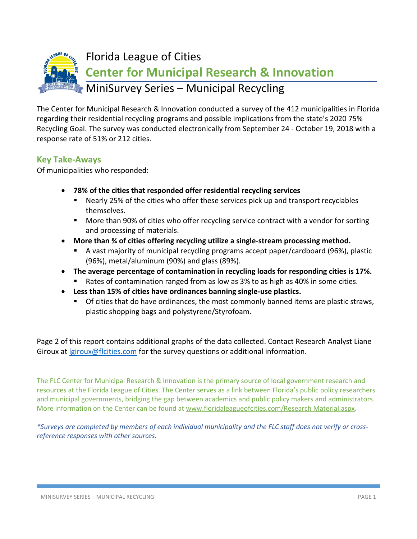

The Center for Municipal Research & Innovation conducted a survey of the 412 municipalities in Florida regarding their residential recycling programs and possible implications from the state's 2020 75% Recycling Goal. The survey was conducted electronically from September 24 - October 19, 2018 with a response rate of 51% or 212 cities.

## **Key Take-Aways**

Of municipalities who responded:

- **78% of the cities that responded offer residential recycling services**
	- Nearly 25% of the cities who offer these services pick up and transport recyclables themselves.
	- **More than 90% of cities who offer recycling service contract with a vendor for sorting** and processing of materials.
- **More than ¾ of cities offering recycling utilize a single-stream processing method.**
	- A vast majority of municipal recycling programs accept paper/cardboard (96%), plastic (96%), metal/aluminum (90%) and glass (89%).
- **The average percentage of contamination in recycling loads for responding cities is 17%.**
	- Rates of contamination ranged from as low as 3% to as high as 40% in some cities.
- **Less than 15% of cities have ordinances banning single-use plastics.**
	- **Of cities that do have ordinances, the most commonly banned items are plastic straws,** plastic shopping bags and polystyrene/Styrofoam.

Page 2 of this report contains additional graphs of the data collected. Contact Research Analyst Liane Giroux at *<u>giroux@flcities.com</u>* for the survey questions or additional information.

The FLC Center for Municipal Research & Innovation is the primary source of local government research and resources at the Florida League of Cities. The Center serves as a link between Florida's public policy researchers and municipal governments, bridging the gap between academics and public policy makers and administrators. More information on the Center can be found at [www.floridaleagueofcities.com/Research Material.aspx.](http://www.floridaleagueofcities.com/Research%20Material.aspx)

*\*Surveys are completed by members of each individual municipality and the FLC staff does not verify or crossreference responses with other sources.*